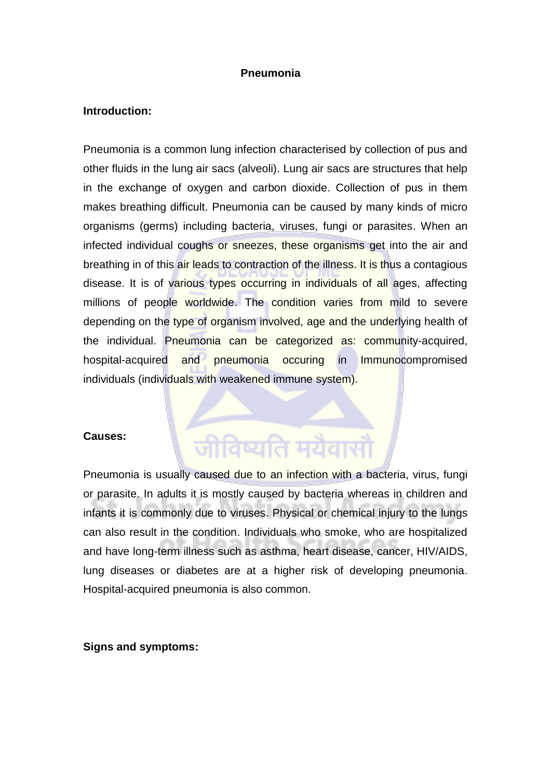#### **Pneumonia**

#### **Introduction:**

Pneumonia is a common lung infection characterised by collection of pus and other fluids in the lung air sacs (alveoli). Lung air sacs are structures that help in the exchange of oxygen and carbon dioxide. Collection of pus in them makes breathing difficult. Pneumonia can be caused by many kinds of micro organisms (germs) including bacteria, viruses, fungi or parasites. When an infected individual coughs or sneezes, these organisms get into the air and breathing in of this air leads to contraction of the illness. It is thus a contagious disease. It is of various types occurring in individuals of all ages, affecting millions of people worldwide. The condition varies from mild to severe depending on the type of organism involved, age and the underlying health of the individual. Pneumonia can be categorized as: community-acquired, hospital-acquired and pneumonia occuring in Immunocompromised individuals (individuals with weakened immune system).

#### **Causes:**

# जीविष्यति मयैवासौ

Pneumonia is usually caused due to an infection with a bacteria, virus, fungi or parasite. In adults it is mostly caused by bacteria whereas in children and infants it is commonly due to viruses. Physical or chemical injury to the lungs can also result in the condition. Individuals who smoke, who are hospitalized and have long-term illness such as asthma, heart disease, cancer, HIV/AIDS, lung diseases or diabetes are at a higher risk of developing pneumonia. Hospital-acquired pneumonia is also common.

#### **Signs and symptoms:**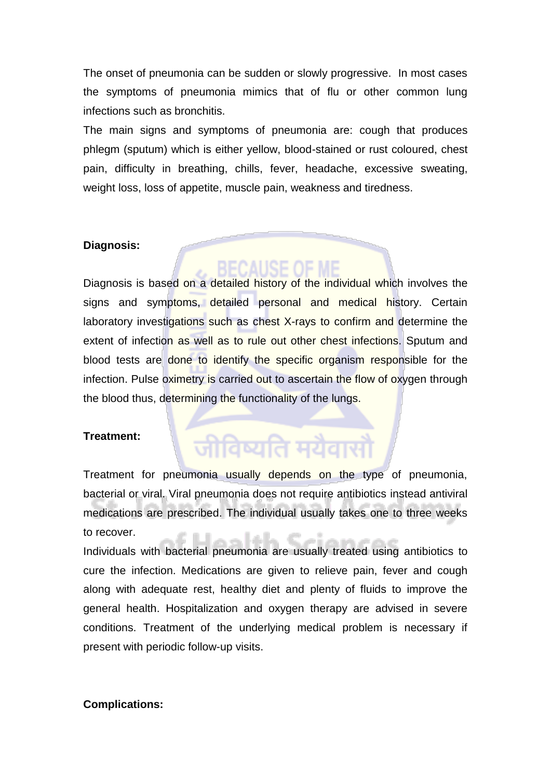The onset of pneumonia can be sudden or slowly progressive. In most cases the symptoms of pneumonia mimics that of flu or other common lung infections such as bronchitis.

The main signs and symptoms of pneumonia are: cough that produces phlegm (sputum) which is either yellow, blood-stained or rust coloured, chest pain, difficulty in breathing, chills, fever, headache, excessive sweating, weight loss, loss of appetite, muscle pain, weakness and tiredness.

### **Diagnosis:**

## ISE OF ME

Diagnosis is based on a detailed history of the individual which involves the signs and symptoms, detailed personal and medical history. Certain laboratory investigations such as chest X-rays to confirm and determine the extent of infection as well as to rule out other chest infections. Sputum and blood tests are done to identify the specific organism responsible for the infection. Pulse oximetry is carried out to ascertain the flow of oxygen through the blood thus, determining the functionality of the lungs.

### **Treatment:**

# जीविष्यति मयैवासं

Treatment for pneumonia usually depends on the type of pneumonia, bacterial or viral. Viral pneumonia does not require antibiotics instead antiviral medications are prescribed. The individual usually takes one to three weeks to recover.

Individuals with bacterial pneumonia are usually treated using antibiotics to cure the infection. Medications are given to relieve pain, fever and cough along with adequate rest, healthy diet and plenty of fluids to improve the general health. Hospitalization and oxygen therapy are advised in severe conditions. Treatment of the underlying medical problem is necessary if present with periodic follow-up visits.

### **Complications:**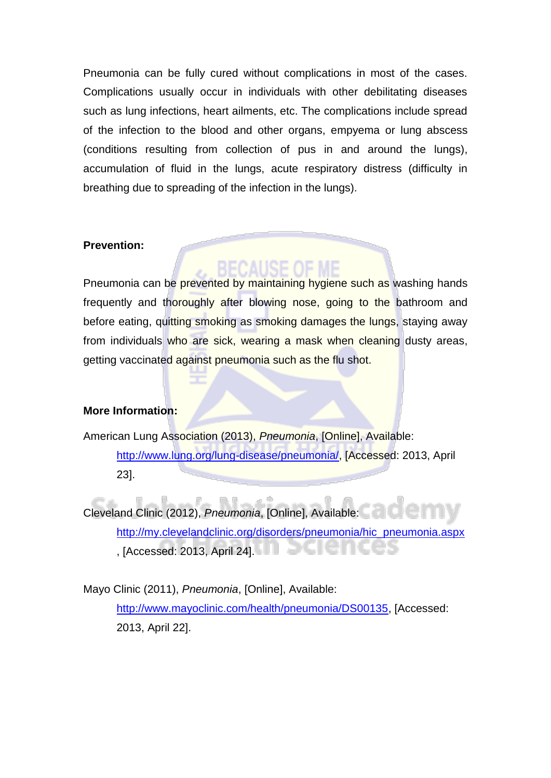Pneumonia can be fully cured without complications in most of the cases. Complications usually occur in individuals with other debilitating diseases such as lung infections, heart ailments, etc. The complications include spread of the infection to the blood and other organs, empyema or lung abscess (conditions resulting from collection of pus in and around the lungs), accumulation of fluid in the lungs, acute respiratory distress (difficulty in breathing due to spreading of the infection in the lungs).

### **Prevention:**

Pneumonia can be prevented by maintaining hygiene such as washing hands frequently and thoroughly after blowing nose, going to the bathroom and before eating, quitting smoking as smoking damages the lungs, staying away from individuals who are sick, wearing a mask when cleaning dusty areas, getting vaccinated against pneumonia such as the flu shot.

### **More Information:**

American Lung Association (2013), *Pneumonia*, [Online], Available: [http://www.lung.org/lung-disease/pneumonia/,](http://www.lung.org/lung-disease/pneumonia/) [Accessed: 2013, April 23].

Cleveland Clinic (2012), *Pneumonia*, [Online], Available: [http://my.clevelandclinic.org/disorders/pneumonia/hic\\_pneumonia.aspx](http://my.clevelandclinic.org/disorders/pneumonia/hic_pneumonia.aspx) , [Accessed: 2013, April 24].

Mayo Clinic (2011), *Pneumonia*, [Online], Available: [http://www.mayoclinic.com/health/pneumonia/DS00135,](http://www.mayoclinic.com/health/pneumonia/DS00135) [Accessed: 2013, April 22].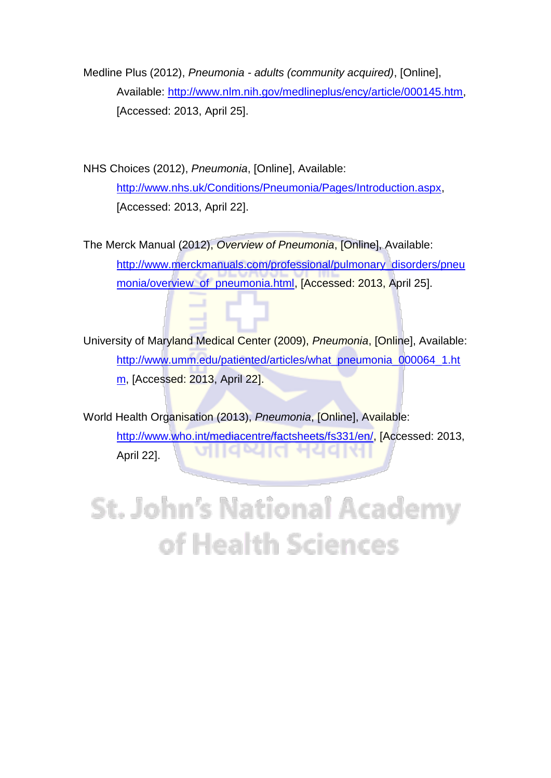Medline Plus (2012), *Pneumonia - adults (community acquired)*, [Online], Available: [http://www.nlm.nih.gov/medlineplus/ency/article/000145.htm,](http://www.nlm.nih.gov/medlineplus/ency/article/000145.htm) [Accessed: 2013, April 25].

NHS Choices (2012), *Pneumonia*, [Online], Available: [http://www.nhs.uk/Conditions/Pneumonia/Pages/Introduction.aspx,](http://www.nhs.uk/Conditions/Pneumonia/Pages/Introduction.aspx) [Accessed: 2013, April 22].

The Merck Manual (2012), *Overview of Pneumonia*, [Online], Available: [http://www.merckmanuals.com/professional/pulmonary\\_disorders/pneu](http://www.merckmanuals.com/professional/pulmonary_disorders/pneumonia/overview_of_pneumonia.html) [monia/overview\\_of\\_pneumonia.html,](http://www.merckmanuals.com/professional/pulmonary_disorders/pneumonia/overview_of_pneumonia.html) [Accessed: 2013, April 25].

University of Maryland Medical Center (2009), *Pneumonia*, [Online], Available: [http://www.umm.edu/patiented/articles/what\\_pneumonia\\_000064\\_1.ht](http://www.umm.edu/patiented/articles/what_pneumonia_000064_1.htm) [m,](http://www.umm.edu/patiented/articles/what_pneumonia_000064_1.htm) [Accessed: 2013, April 22].

World Health Organisation (2013), *Pneumonia*, [Online], Available: [http://www.who.int/mediacentre/factsheets/fs331/en/,](http://www.who.int/mediacentre/factsheets/fs331/en/) [Accessed: 2013, 10 W April 22].

**St. John's National Academy** of Health Sciences